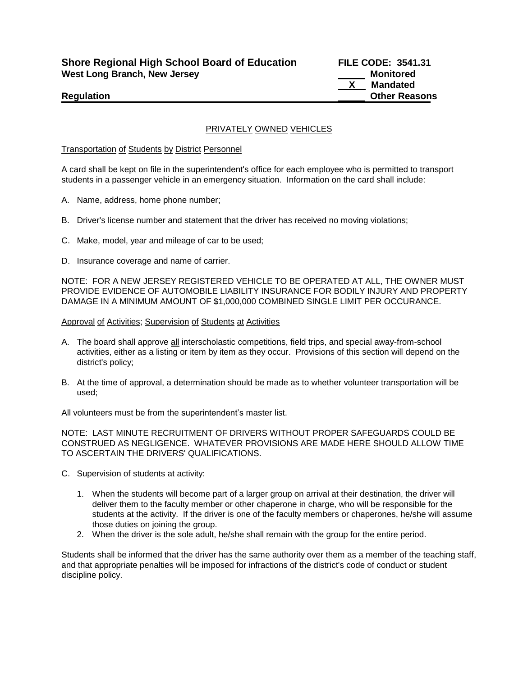**Shore Regional High School Board of Education FILE CODE: 3541.31 West Long Branch, New Jersey Monitored West Long Branch, New Jersey Monitored** 

**Mandated Regulation Contract Contract Contract Contract Contract Contract Contract Contract Contract Contract Contract Contract Contract Contract Contract Contract Contract Contract Contract Contract Contract Contract Contract Con** 

# PRIVATELY OWNED VEHICLES

Transportation of Students by District Personnel

A card shall be kept on file in the superintendent's office for each employee who is permitted to transport students in a passenger vehicle in an emergency situation. Information on the card shall include:

- A. Name, address, home phone number;
- B. Driver's license number and statement that the driver has received no moving violations;
- C. Make, model, year and mileage of car to be used;
- D. Insurance coverage and name of carrier.

NOTE: FOR A NEW JERSEY REGISTERED VEHICLE TO BE OPERATED AT ALL, THE OWNER MUST PROVIDE EVIDENCE OF AUTOMOBILE LIABILITY INSURANCE FOR BODILY INJURY AND PROPERTY DAMAGE IN A MINIMUM AMOUNT OF \$1,000,000 COMBINED SINGLE LIMIT PER OCCURANCE.

### Approval of Activities; Supervision of Students at Activities

- A. The board shall approve all interscholastic competitions, field trips, and special away-from-school activities, either as a listing or item by item as they occur. Provisions of this section will depend on the district's policy;
- B. At the time of approval, a determination should be made as to whether volunteer transportation will be used;

All volunteers must be from the superintendent's master list.

NOTE: LAST MINUTE RECRUITMENT OF DRIVERS WITHOUT PROPER SAFEGUARDS COULD BE CONSTRUED AS NEGLIGENCE. WHATEVER PROVISIONS ARE MADE HERE SHOULD ALLOW TIME TO ASCERTAIN THE DRIVERS' QUALIFICATIONS.

- C. Supervision of students at activity:
	- 1. When the students will become part of a larger group on arrival at their destination, the driver will deliver them to the faculty member or other chaperone in charge, who will be responsible for the students at the activity. If the driver is one of the faculty members or chaperones, he/she will assume those duties on joining the group.
	- 2. When the driver is the sole adult, he/she shall remain with the group for the entire period.

Students shall be informed that the driver has the same authority over them as a member of the teaching staff, and that appropriate penalties will be imposed for infractions of the district's code of conduct or student discipline policy.